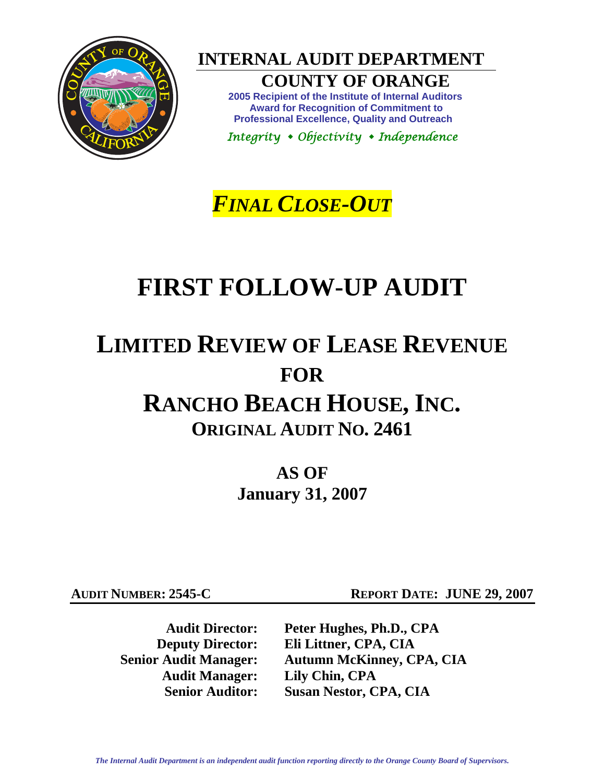

**INTERNAL AUDIT DEPARTMENT** 

# **COUNTY OF ORANGE**

**2005 Recipient of the Institute of Internal Auditors Award for Recognition of Commitment to Professional Excellence, Quality and Outreach** 

 *Integrity Objectivity Independence* 

*FINAL CLOSE-OUT*

# **FIRST FOLLOW-UP AUDIT**

# **LIMITED REVIEW OF LEASE REVENUE FOR RANCHO BEACH HOUSE, INC. ORIGINAL AUDIT NO. 2461**

**AS OF January 31, 2007** 

**AUDIT NUMBER: 2545-C REPORT DATE: JUNE 29, 2007** 

**Audit Manager: Lily Chin, CPA** 

 **Audit Director: Peter Hughes, Ph.D., CPA Deputy Director: Eli Littner, CPA, CIA Senior Audit Manager: Autumn McKinney, CPA, CIA Senior Auditor: Susan Nestor, CPA, CIA**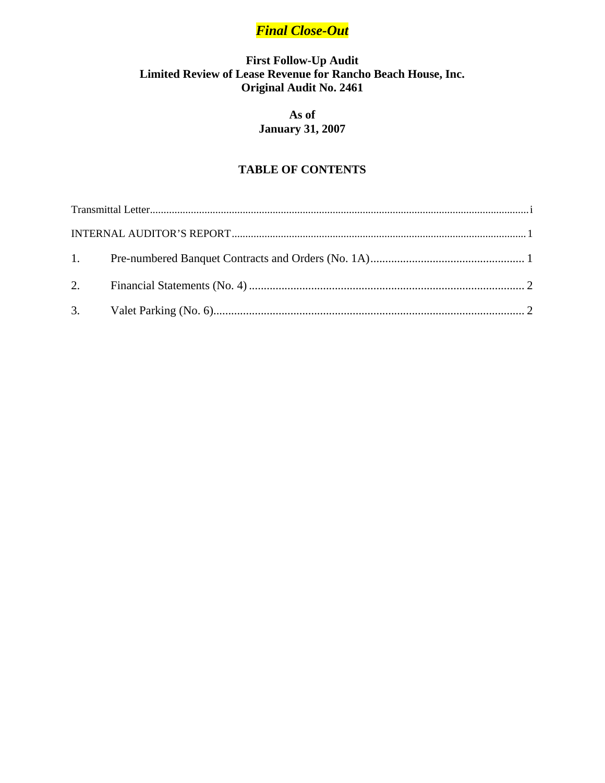# *Final Close-Out*

# **First Follow-Up Audit Limited Review of Lease Revenue for Rancho Beach House, Inc. Original Audit No. 2461**

## **As of January 31, 2007**

# **TABLE OF CONTENTS**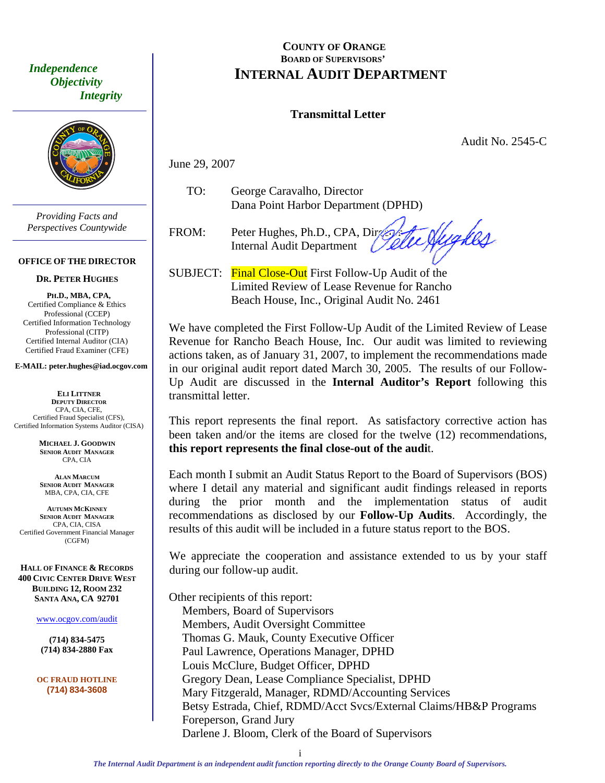*Objectivity Integrity* 



*Providing Facts and Perspectives Countywide* 

#### **OFFICE OF THE DIRECTOR**

#### **DR. PETER HUGHES**

**PH.D., MBA, CPA,**  Certified Compliance & Ethics Professional (CCEP) Certified Information Technology Professional (CITP) Certified Internal Auditor (CIA) Certified Fraud Examiner (CFE)

**E-MAIL: peter.hughes@iad.ocgov.com** 

**ELI LITTNER DEPUTY DIRECTOR** CPA, CIA, CFE, Certified Fraud Specialist (CFS), Certified Information Systems Auditor (CISA)

> **MICHAEL J. GOODWIN SENIOR AUDIT MANAGER** CPA, CIA

**ALAN MARCUM SENIOR AUDIT MANAGER** MBA, CPA, CIA, CFE

**AUTUMN MCKINNEY SENIOR AUDIT MANAGER** CPA, CIA, CISA Certified Government Financial Manager (CGFM)

**HALL OF FINANCE & RECORDS 400 CIVIC CENTER DRIVE WEST BUILDING 12, ROOM 232 SANTA ANA, CA 92701** 

www.ocgov.com/audit

**(714) 834-5475 (714) 834-2880 Fax** 

**OC FRAUD HOTLINE (714) 834-3608** 

#### <span id="page-2-0"></span>**COUNTY OF ORANGE BOARD OF SUPERVISORS'**  *Independence INTERNAL AUDIT DEPARTMENT*

#### **Transmittal Letter**

Audit No. 2545-C

June 29, 2007

 TO: George Caravalho, Director Dana Point Harbor Department (DPHD)

 $FROM:$  Peter Hughes, Ph.D., CPA, Director Internal Audit Department

te Aughes

SUBJECT: Final Close-Out First Follow-Up Audit of the Limited Review of Lease Revenue for Rancho Beach House, Inc., Original Audit No. 2461

We have completed the First Follow-Up Audit of the Limited Review of Lease Revenue for Rancho Beach House, Inc. Our audit was limited to reviewing actions taken, as of January 31, 2007, to implement the recommendations made in our original audit report dated March 30, 2005. The results of our Follow-Up Audit are discussed in the **Internal Auditor's Report** following this transmittal letter.

This report represents the final report. As satisfactory corrective action has been taken and/or the items are closed for the twelve (12) recommendations, **this report represents the final close-out of the audi**t.

Each month I submit an Audit Status Report to the Board of Supervisors (BOS) where I detail any material and significant audit findings released in reports during the prior month and the implementation status of audit recommendations as disclosed by our **Follow-Up Audits**. Accordingly, the results of this audit will be included in a future status report to the BOS.

We appreciate the cooperation and assistance extended to us by your staff during our follow-up audit.

Other recipients of this report: Members, Board of Supervisors Members, Audit Oversight Committee Thomas G. Mauk, County Executive Officer Paul Lawrence, Operations Manager, DPHD Louis McClure, Budget Officer, DPHD Gregory Dean, Lease Compliance Specialist, DPHD Mary Fitzgerald, Manager, RDMD/Accounting Services Betsy Estrada, Chief, RDMD/Acct Svcs/External Claims/HB&P Programs Foreperson, Grand Jury Darlene J. Bloom, Clerk of the Board of Supervisors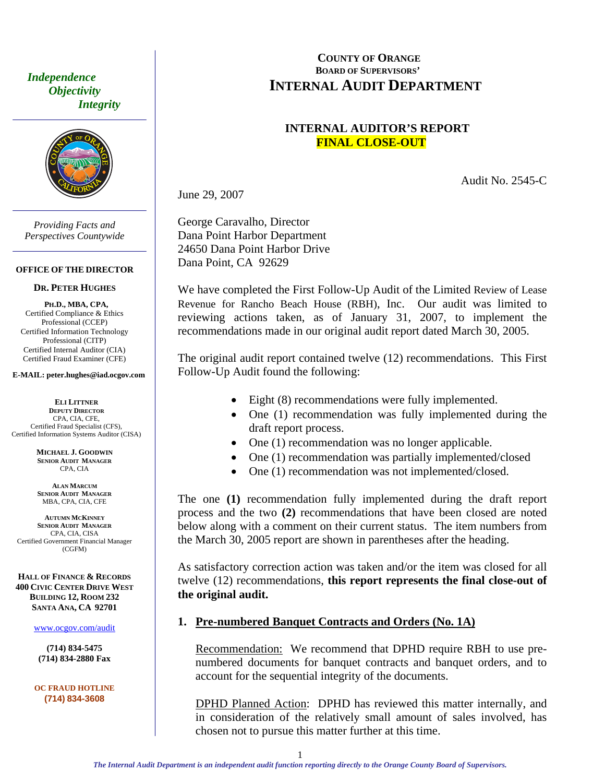<span id="page-3-0"></span> *Independence Objectivity Integrity* 



*Providing Facts and Perspectives Countywide* 

#### **OFFICE OF THE DIRECTOR**

#### **DR. PETER HUGHES**

**PH.D., MBA, CPA,**  Certified Compliance & Ethics Professional (CCEP) Certified Information Technology Professional (CITP) Certified Internal Auditor (CIA) Certified Fraud Examiner (CFE)

#### **E-MAIL: peter.hughes@iad.ocgov.com**

**ELI LITTNER DEPUTY DIRECTOR** CPA, CIA, CFE, Certified Fraud Specialist (CFS), Certified Information Systems Auditor (CISA)

> **MICHAEL J. GOODWIN SENIOR AUDIT MANAGER** CPA, CIA

**ALAN MARCUM SENIOR AUDIT MANAGER** MBA, CPA, CIA, CFE

**AUTUMN MCKINNEY SENIOR AUDIT MANAGER** CPA, CIA, CISA Certified Government Financial Manager (CGFM)

**HALL OF FINANCE & RECORDS 400 CIVIC CENTER DRIVE WEST BUILDING 12, ROOM 232 SANTA ANA, CA 92701** 

www.ocgov.com/audit

**(714) 834-5475 (714) 834-2880 Fax** 

**OC FRAUD HOTLINE (714) 834-3608** 

#### **COUNTY OF ORANGE BOARD OF SUPERVISORS' INTERNAL AUDIT DEPARTMENT**

#### **INTERNAL AUDITOR'S REPORT FINAL CLOSE-OUT**

Audit No. 2545-C

June 29, 2007

George Caravalho, Director Dana Point Harbor Department 24650 Dana Point Harbor Drive Dana Point, CA 92629

We have completed the First Follow-Up Audit of the Limited Review of Lease Revenue for Rancho Beach House (RBH), Inc. Our audit was limited to reviewing actions taken, as of January 31, 2007, to implement the recommendations made in our original audit report dated March 30, 2005.

The original audit report contained twelve (12) recommendations. This First Follow-Up Audit found the following:

- Eight (8) recommendations were fully implemented.
- One (1) recommendation was fully implemented during the draft report process.
- One (1) recommendation was no longer applicable.
- One (1) recommendation was partially implemented/closed
- One (1) recommendation was not implemented/closed.

The one **(1)** recommendation fully implemented during the draft report process and the two **(2)** recommendations that have been closed are noted below along with a comment on their current status. The item numbers from the March 30, 2005 report are shown in parentheses after the heading.

As satisfactory correction action was taken and/or the item was closed for all twelve (12) recommendations, **this report represents the final close-out of the original audit.** 

#### **1. Pre-numbered Banquet Contracts and Orders (No. 1A)**

Recommendation: We recommend that DPHD require RBH to use prenumbered documents for banquet contracts and banquet orders, and to account for the sequential integrity of the documents.

DPHD Planned Action: DPHD has reviewed this matter internally, and in consideration of the relatively small amount of sales involved, has chosen not to pursue this matter further at this time.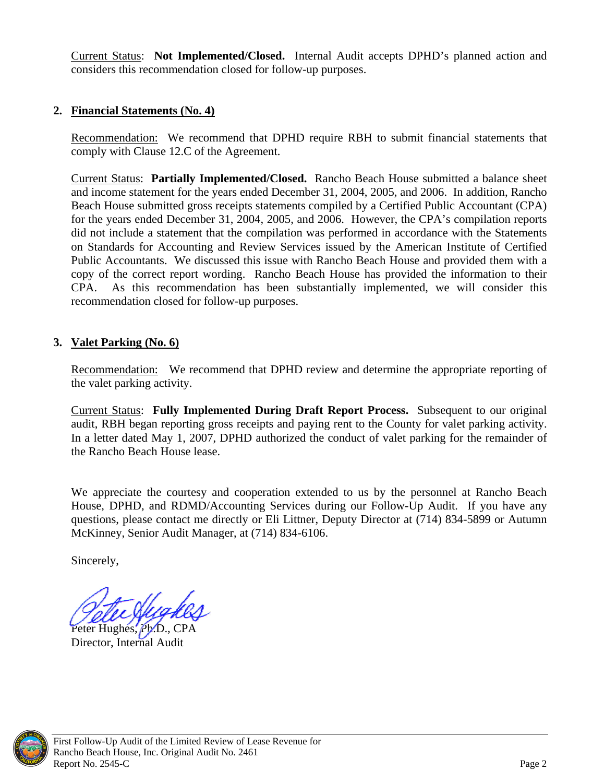<span id="page-4-0"></span>Current Status: **Not Implemented/Closed.** Internal Audit accepts DPHD's planned action and considers this recommendation closed for follow-up purposes.

## **2. Financial Statements (No. 4)**

Recommendation:We recommend that DPHD require RBH to submit financial statements that comply with Clause 12.C of the Agreement.

Current Status: **Partially Implemented/Closed.** Rancho Beach House submitted a balance sheet and income statement for the years ended December 31, 2004, 2005, and 2006. In addition, Rancho Beach House submitted gross receipts statements compiled by a Certified Public Accountant (CPA) for the years ended December 31, 2004, 2005, and 2006. However, the CPA's compilation reports did not include a statement that the compilation was performed in accordance with the Statements on Standards for Accounting and Review Services issued by the American Institute of Certified Public Accountants. We discussed this issue with Rancho Beach House and provided them with a copy of the correct report wording. Rancho Beach House has provided the information to their CPA. As this recommendation has been substantially implemented, we will consider this recommendation closed for follow-up purposes.

## **3. Valet Parking (No. 6)**

Recommendation: We recommend that DPHD review and determine the appropriate reporting of the valet parking activity.

Current Status: **Fully Implemented During Draft Report Process.** Subsequent to our original audit, RBH began reporting gross receipts and paying rent to the County for valet parking activity. In a letter dated May 1, 2007, DPHD authorized the conduct of valet parking for the remainder of the Rancho Beach House lease.

We appreciate the courtesy and cooperation extended to us by the personnel at Rancho Beach House, DPHD, and RDMD/Accounting Services during our Follow-Up Audit. If you have any questions, please contact me directly or Eli Littner, Deputy Director at (714) 834-5899 or Autumn McKinney, Senior Audit Manager, at (714) 834-6106.

Sincerely,

Peter Hughes, Ph.D., CPA Director, Internal Audit